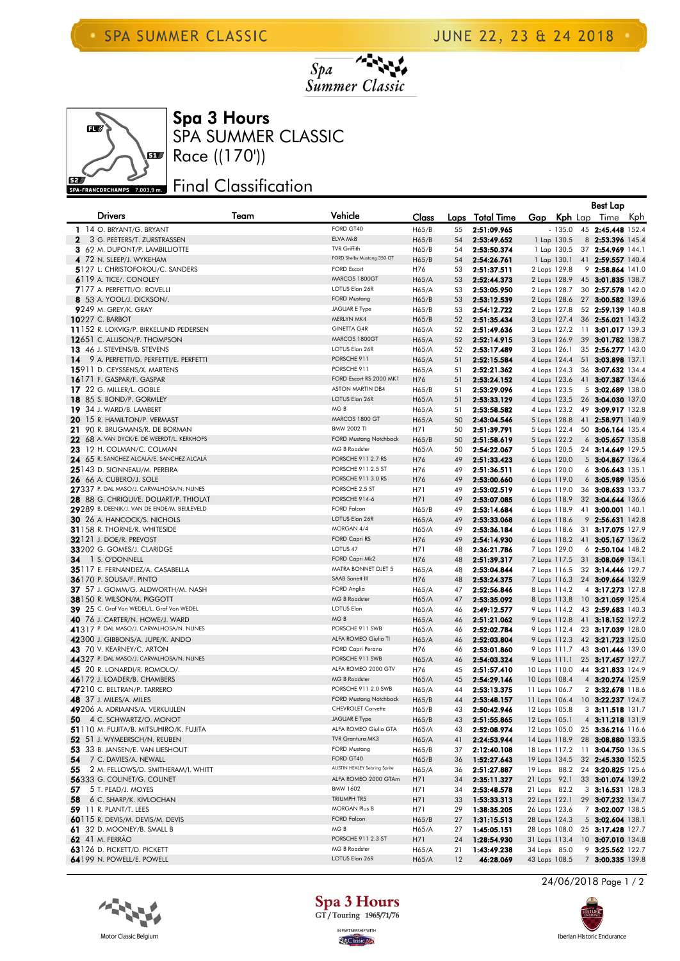



SPA SUMMER CLASSIC Spa 3 Hours

## Final Classification

|              |                                                                                    |      |                                                      |                |          |                            |                              |          | Best Lap                                |  |
|--------------|------------------------------------------------------------------------------------|------|------------------------------------------------------|----------------|----------|----------------------------|------------------------------|----------|-----------------------------------------|--|
|              | <b>Drivers</b>                                                                     | Team | Vehicle                                              | Class          | Laps     | <b>Total Time</b>          | Gap                          |          | Kph Lap Time Kph                        |  |
|              | 1 14 O. BRYANT/G. BRYANT                                                           |      | FORD GT40                                            | H65/B          | 55       | 2:51:09.965                |                              | $-135.0$ | 45 2:45.448 152.4                       |  |
| $\mathbf{2}$ | 3 G. PEETERS/T. ZURSTRASSEN                                                        |      | ELVA Mk8                                             | H65/B          | 54       | 2:53:49.652                | 1 Lap 130.5                  |          | 8 2:53.396 145.4                        |  |
|              | 3 62 M. DUPONT/P. LAMBILLIOTTE                                                     |      | <b>TVR Griffith</b>                                  | H65/B          | 54       | 2:53:50.374                | 1 Lap 130.5                  |          | 37 2:54.969 144.1                       |  |
|              | 4 72 N. SLEEP/J. WYKEHAM                                                           |      | FORD Shelby Mustang 350 GT                           | H65/B          | 54       | 2:54:26.761                | 1 Lap 130.1                  |          | 41 2:59.557 140.4                       |  |
|              | <b>5127 L. CHRISTOFOROU/C. SANDERS</b>                                             |      | <b>FORD Escort</b>                                   | H76            | 53       | 2:51:37.511                | 2 Laps 129.8                 |          | 9 2:58.864 141.0                        |  |
|              | 6119 A. TICE/. CONOLEY                                                             |      | MARCOS 1800GT                                        | H65/A          | 53       | 2:52:44.373                | 2 Laps 128.9                 |          | 45 3:01.835 138.7                       |  |
|              | 7177 A. PERFETTI/O. ROVELLI                                                        |      | LOTUS Elan 26R                                       | H65/A          | 53       | 2:53:05.950                | 2 Laps 128.7                 |          | 30 2:57.578 142.0                       |  |
|              | <b>8</b> 53 A. YOOL/J. DICKSON/.                                                   |      | <b>FORD Mustang</b>                                  | H65/B          | 53       | 2:53:12.539                | 2 Laps 128.6                 |          | 27 3:00.582 139.6                       |  |
|              | <b>9</b> 249 M. GREY/K. GRAY                                                       |      | JAGUAR E Type<br>MERLYN MK4                          | H65/B          | 53       | 2:54:12.722                | 2 Laps 127.8                 |          | 52 2:59.139 140.8                       |  |
|              | <b>10</b> 227 C. BARBOT<br>11152 R. LOKVIG/P. BIRKELUND PEDERSEN                   |      | <b>GINETTA G4R</b>                                   | H65/B          | 52<br>52 | 2:51:35.434                | 3 Laps 127.4<br>3 Laps 127.2 |          | 36 2:56.021 143.2                       |  |
|              | 12651 C. ALLISON/P. THOMPSON                                                       |      | MARCOS 1800GT                                        | H65/A<br>H65/A | 52       | 2:51:49.636<br>2:52:14.915 | 3 Laps 126.9                 |          | 11 3:01.017 139.3<br>39 3:01.782 138.7  |  |
|              | 13 46 J. STEVENS/B. STEVENS                                                        |      | LOTUS Elan 26R                                       | H65/A          | 52       | 2:53:17.489                | 3 Laps 126.1                 |          | 35 2:56.277 143.0                       |  |
| 14           | 9 A. PERFETTI/D. PERFETTI/E. PERFETTI                                              |      | PORSCHE 911                                          | H65/A          | 51       | 2:52:15.584                | 4 Laps 124.4                 |          | 51 3:03.898 137.1                       |  |
|              | 15911 D. CEYSSENS/X. MARTENS                                                       |      | PORSCHE 911                                          | H65/A          | 51       | 2:52:21.362                | 4 Laps 124.3                 |          | 36 3:07.632 134.4                       |  |
|              | <b>16</b> 171 F. GASPAR/F. GASPAR                                                  |      | FORD Escort RS 2000 MK1                              | H76            | 51       | 2:53:24.152                | 4 Laps 123.6                 |          | 41 3:07.387 134.6                       |  |
|              | 17 22 G. MILLER/L. GOBLE                                                           |      | <b>ASTON MARTIN DB4</b>                              | H65/B          | 51       | 2:53:29.096                | 4 Laps 123.5                 |          | 5 3:02.689 138.0                        |  |
|              | 18 85 S. BOND/P. GORMLEY                                                           |      | LOTUS Elan 26R                                       | H65/A          | 51       | 2:53:33.129                | 4 Laps 123.5                 |          | 26 3:04.030 137.0                       |  |
|              | 19 34 J. WARD/B. LAMBERT                                                           |      | MG B                                                 | H65/A          | 51       | 2:53:58.582                | 4 Laps 123.2                 |          | 49 3:09.917 132.8                       |  |
|              | <b>20</b> 15 R. HAMILTON/P. VERMAST                                                |      | MARCOS 1800 GT                                       | H65/A          | 50       | 2:43:04.546                | 5 Laps 128.8                 |          | 41 2:58.971 140.9                       |  |
|              | 21 90 R. BRUGMANS/R. DE BORMAN                                                     |      | <b>BMW 2002 TI</b>                                   | H71            | 50       | 2:51:39.791                | 5 Laps 122.4                 |          | 50 3:06.164 135.4                       |  |
|              | 22 68 A. VAN DYCK/E. DE WEERDT/L. KERKHOFS                                         |      | <b>FORD Mustang Notchback</b>                        | H65/B          | 50       | 2:51:58.619                | 5 Laps 122.2                 |          | 6 3:05.657 135.8                        |  |
|              | 23 12 H. COLMAN/C. COLMAN                                                          |      | <b>MG B Roadster</b>                                 | H65/A          | 50       | 2:54:22.067                | 5 Laps 120.5                 |          | 24 3:14.649 129.5                       |  |
|              | 24 65 R. SANCHEZ ALCALÁ/E. SANCHEZ ALCALÁ                                          |      | PORSCHE 911 2.7 RS                                   | H76            | 49       | 2:51:33.423                | 6 Laps 120.0                 |          | 5 3:04.867 136.4                        |  |
|              | 25143 D. SIONNEAU/M. PEREIRA                                                       |      | PORSCHE 911 2.5 ST                                   | H76            | 49       | 2:51:36.511                | 6 Laps 120.0                 |          | $6$ 3:06.643 135.1                      |  |
|              | <b>26</b> 66 A. CUBERO/J. SOLE<br>27337 P. DAL MASO/J. CARVALHOSA/N. NUNES         |      | PORSCHE 911 3.0 RS<br>PORSCHE 2.5 ST                 | H76            | 49       | 2:53:00.660                | 6 Laps 119.0                 |          | 6 3:05.989 135.6                        |  |
|              | 28 88 G. CHRIQUI/E. DOUART/P. THIOLAT                                              |      | PORSCHE 914-6                                        | H71<br>H71     | 49<br>49 | 2:53:02.519<br>2:53:07.085 | 6 Laps 119.0<br>6 Laps 118.9 |          | 36 3:08.633 133.7<br>32 3:04.644 136.6  |  |
|              | 29289 B. DEENIK/J. VAN DE ENDE/M. BEIJLEVELD                                       |      | <b>FORD Falcon</b>                                   | H65/B          | 49       | 2:53:14.684                | 6 Laps 118.9                 |          | 41 3:00.001 140.1                       |  |
|              | <b>30</b> 26 A. HANCOCK/S. NICHOLS                                                 |      | LOTUS Elan 26R                                       | H65/A          | 49       | 2:53:33.068                | 6 Laps 118.6                 |          | 9 2:56.631 142.8                        |  |
|              | 31158 R. THORNE/R. WHITESIDE                                                       |      | MORGAN 4/4                                           | H65/A          | 49       | 2:53:36.184                | 6 Laps 118.6                 |          | 31 3:17.075 127.9                       |  |
|              | <b>32121 J. DOE/R. PREVOST</b>                                                     |      | FORD Capri RS                                        | H76            | 49       | 2:54:14.930                | 6 Laps 118.2                 |          | 41 3:05.167 136.2                       |  |
|              | 33202 G. GOMES/J. CLARIDGE                                                         |      | LOTUS <sub>47</sub>                                  | H71            | 48       | 2:36:21.786                | 7 Laps 129.0                 |          | $6$ 2:50.104 148.2                      |  |
| 34           | 1 S. O'DONNELL                                                                     |      | FORD Capri Mk2                                       | H76            | 48       | 2:51:39.317                | 7 Laps 117.5                 |          | 31 3:08.069 134.1                       |  |
|              | 35117 E. FERNANDEZ/A. CASABELLA                                                    |      | MATRA BONNET DJET 5                                  | H65/A          | 48       | 2:53:04.844                | 7 Laps 116.5                 |          | 32 3:14.446 129.7                       |  |
|              | <b>36170 P. SOUSA/F. PINTO</b>                                                     |      | SAAB Sonett III                                      | H76            | 48       | 2:53:24.375                | 7 Laps 116.3                 |          | 24 3:09.664 132.9                       |  |
|              | 37 57 J. GOMM/G. ALDWORTH/M. NASH                                                  |      | FORD Anglia                                          | H65/A          | 47       | 2:52:56.846                | 8 Laps 114.2                 |          | 4 3:17.273 127.8                        |  |
|              | <b>38</b> 150 R. WILSON/M. PIGGOTT                                                 |      | <b>MG B Roadster</b>                                 | H65/A          | 47       | 2:53:35.092                | 8 Laps 113.8                 |          | 10 3:21.059 125.4                       |  |
|              | 39 25 C. Graf Von WEDEL/L. Graf Von WEDEL                                          |      | <b>LOTUS Elan</b>                                    | H65/A          | 46       | 2:49:12.577                | 9 Laps 114.2                 |          | 43 2:59.683 140.3                       |  |
|              | <b>40</b> 76 J. CARTER/N. HOWE/J. WARD<br>41317 P. DAL MASO/J. CARVALHOSA/N. NUNES |      | MG B<br>PORSCHE 911 SWB                              | H65/A          | 46       | 2:51:21.062                | 9 Laps 112.8                 |          | 41 3:18.152 127.2                       |  |
|              | 42300 J. GIBBONS/A. JUPE/K. ANDO                                                   |      | ALFA ROMEO Giulia TI                                 | H65/A<br>H65/A | 46<br>46 | 2:52:02.784<br>2:52:03.804 | 9 Laps 112.4<br>9 Laps 112.3 |          | 23 3:17.039 128.0<br>42 3:21.723 125.0  |  |
|              | <b>43</b> 70 V. KEARNEY/C. ARTON                                                   |      | FORD Capri Perana                                    | H76            | 46       | 2:53:01.860                | 9 Laps 111.7                 |          | 43 3:01.446 139.0                       |  |
|              | 44327 P. DAL MASO/J. CARVALHOSA/N. NUNES                                           |      | PORSCHE 911 SWB                                      | H65/A          | 46       | 2:54:03.324                | 9 Laps 111.1                 |          | 25 3:17.457 127.7                       |  |
|              | <b>45</b> 20 R. LONARDI/R. ROMOLO/.                                                |      | ALFA ROMEO 2000 GTV                                  | H76            | 45       | 2:51:57.410                | 10 Laps 110.0                |          | 44 3:21.833 124.9                       |  |
|              | 46172 J. LOADER/B. CHAMBERS                                                        |      | <b>MG B Roadster</b>                                 | H65/A          | 45       | 2:54:29.146                | 10 Laps 108.4                |          | 4 3:20.274 125.9                        |  |
|              | 47210 C. BELTRAN/P. TARRERO                                                        |      | PORSCHE 911 2.0 SWB                                  | H65/A          | 44       | 2:53:13.375                | 11 Laps 106.7                |          | 2 3:32.678 118.6                        |  |
|              | <b>48</b> 37 J. MILES/A. MILES                                                     |      | <b>FORD Mustang Notchback</b>                        | H65/B          | 44       | 2:53:48.157                | 11 Laps 106.4                |          | 10 3:22.237 124.7                       |  |
|              | 49206 A. ADRIAANS/A. VERKUIJLEN                                                    |      | CHEVROLET Corvette                                   | H65/B          | 43       | 2:50:42.946                | 12 Laps 105.8                |          | 3 3:11.518 131.7                        |  |
|              | 50 4 C. SCHWARTZ/O. MONOT                                                          |      | JAGUAR E Type                                        | H65/B          | 43       | 2:51:55.865                | 12 Laps 105.1                |          | 4 3:11.218 131.9                        |  |
|              | 51110 m. Fujita/B. Mitsuhiro/K. Fujita                                             |      | ALFA ROMEO Giulia GTA                                | H65/A          | 43       | 2:52:08.974                | 12 Laps 105.0                |          | 25 3:36.216 116.6                       |  |
|              | 52 51 J. WYMEERSCH/N. REUBEN                                                       |      | TVR Grantura MK3                                     | H65/A          | 41       | 2:24:53.944                | 14 Laps 118.9                |          | 28 3:08.880 133.5                       |  |
|              | 53 33 B. JANSEN/E. VAN LIESHOUT                                                    |      | <b>FORD Mustang</b>                                  | H65/B          | 37       | 2:12:40.108                | 18 Laps 117.2                |          | 11 3:04.750 136.5                       |  |
| 54           | 7 C. DAVIES/A. NEWALL                                                              |      | FORD GT40                                            | H65/B          | 36       | 1:52:27.643                | 19 Laps 134.5                |          | 32 2:45.330 152.5                       |  |
| 55           | 2 M. FELLOWS/D. SMITHERAM/I. WHITT                                                 |      | AUSTIN HEALEY Sebring Sprite<br>ALFA ROMEO 2000 GTAm | H65/A          | 36       | 2:51:27.887                | 19 Laps 88.2                 |          | 24 3:20.825 125.6                       |  |
| 57.          | 56333 G. COLINET/G. COLINET<br>5 T. PEAD/J. MOYES                                  |      | <b>BMW 1602</b>                                      | H71<br>H71     | 34<br>34 | 2:35:11.327                | 21 Laps 92.1<br>21 Laps 82.2 |          | 33 3:01.074 139.2                       |  |
| 58           | 6 C. SHARP/K. KIVLOCHAN                                                            |      | TRIUMPH TR5                                          | H71            | 33       | 2:53:48.578<br>1:53:33.313 | 22 Laps 122.1                |          | $3$ 3:16.531 128.3<br>29 3:07.232 134.7 |  |
|              | <b>59</b> 11 R. PLANT/T. LEES                                                      |      | MORGAN Plus 8                                        | H71            | 29       | 1:38:35.205                | 26 Laps 123.6                |          | 7 3:02.007 138.5                        |  |
|              | 60115 R. DEVIS/M. DEVIS/M. DEVIS                                                   |      | <b>FORD Falcon</b>                                   | H65/B          | 27       | 1:31:15.513                | 28 Laps 124.3                |          | $5$ 3:02.604 138.1                      |  |
|              | 61 32 D. MOONEY/B. SMALL B                                                         |      | MG B                                                 | H65/A          | 27       | 1:45:05.151                | 28 Laps 108.0                |          | 25 3:17.428 127.7                       |  |
|              | <b>62</b> 41 M. FERRÃO                                                             |      | PORSCHE 911 2.3 ST                                   | H71            | 24       | 1:28:54.930                | 31 Laps 113.4                |          | 10 3:07.010 134.8                       |  |
|              | 63126 D. PICKETT/D. PICKETT                                                        |      | MG B Roadster                                        | H65/A          | 21       | 1:43:49.238                | 34 Laps 85.0                 |          | 9 3:25.562 122.7                        |  |
|              | 64199 N. POWELL/E. POWELL                                                          |      | LOTUS Elan 26R                                       | H65/A          | 12       | 46:28.069                  | 43 Laps 108.5                |          | 7 3:00.335 139.8                        |  |





24/06/2018 Page 1 / 2